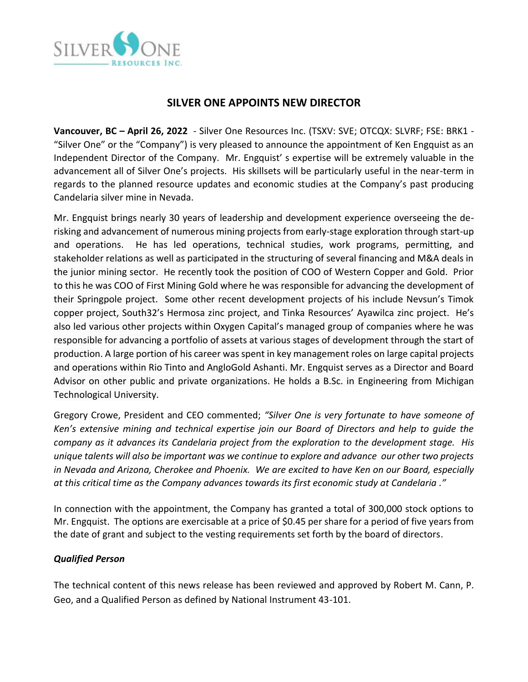

# **SILVER ONE APPOINTS NEW DIRECTOR**

**Vancouver, BC – April 26, 2022** - Silver One Resources Inc. (TSXV: SVE; OTCQX: SLVRF; FSE: BRK1 - "Silver One" or the "Company") is very pleased to announce the appointment of Ken Engquist as an Independent Director of the Company. Mr. Engquist' s expertise will be extremely valuable in the advancement all of Silver One's projects. His skillsets will be particularly useful in the near-term in regards to the planned resource updates and economic studies at the Company's past producing Candelaria silver mine in Nevada.

Mr. Engquist brings nearly 30 years of leadership and development experience overseeing the derisking and advancement of numerous mining projects from early-stage exploration through start-up and operations. He has led operations, technical studies, work programs, permitting, and stakeholder relations as well as participated in the structuring of several financing and M&A deals in the junior mining sector. He recently took the position of COO of Western Copper and Gold. Prior to this he was COO of First Mining Gold where he was responsible for advancing the development of their Springpole project. Some other recent development projects of his include Nevsun's Timok copper project, South32's Hermosa zinc project, and Tinka Resources' Ayawilca zinc project. He's also led various other projects within Oxygen Capital's managed group of companies where he was responsible for advancing a portfolio of assets at various stages of development through the start of production. A large portion of his career was spent in key management roles on large capital projects and operations within Rio Tinto and AngloGold Ashanti. Mr. Engquist serves as a Director and Board Advisor on other public and private organizations. He holds a B.Sc. in Engineering from Michigan Technological University.

Gregory Crowe, President and CEO commented; *"Silver One is very fortunate to have someone of Ken's extensive mining and technical expertise join our Board of Directors and help to guide the company as it advances its Candelaria project from the exploration to the development stage. His unique talents will also be important was we continue to explore and advance our other two projects in Nevada and Arizona, Cherokee and Phoenix. We are excited to have Ken on our Board, especially at this critical time as the Company advances towards its first economic study at Candelaria ."*

In connection with the appointment, the Company has granted a total of 300,000 stock options to Mr. Engquist. The options are exercisable at a price of \$0.45 per share for a period of five years from the date of grant and subject to the vesting requirements set forth by the board of directors.

## *Qualified Person*

The technical content of this news release has been reviewed and approved by Robert M. Cann, P. Geo, and a Qualified Person as defined by National Instrument 43-101.